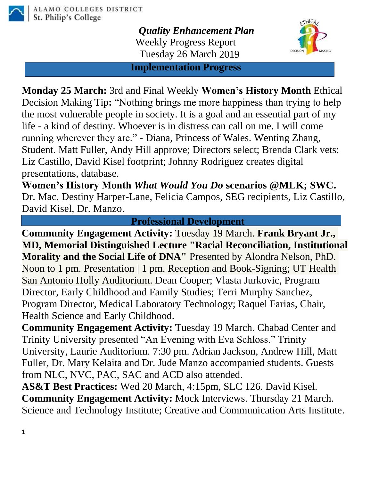

*Quality Enhancement Plan* Weekly Progress Report Tuesday 26 March 2019



**Implementation Progress**

**Monday 25 March:** 3rd and Final Weekly **Women's History Month** Ethical Decision Making Tip**:** "Nothing brings me more happiness than trying to help the most vulnerable people in society. It is a goal and an essential part of my life - a kind of destiny. Whoever is in distress can call on me. I will come running wherever they are." - Diana, Princess of Wales. Wenting Zhang, Student. Matt Fuller, Andy Hill approve; Directors select; Brenda Clark vets; Liz Castillo, David Kisel footprint; Johnny Rodriguez creates digital presentations, database.

**Women's History Month** *What Would You Do* **scenarios @MLK; SWC.**  Dr. Mac, Destiny Harper-Lane, Felicia Campos, SEG recipients, Liz Castillo, David Kisel, Dr. Manzo.

**Professional Development**

**Community Engagement Activity:** Tuesday 19 March. **Frank Bryant Jr., MD, Memorial Distinguished Lecture "Racial Reconciliation, Institutional Morality and the Social Life of DNA"** Presented by Alondra Nelson, PhD. Noon to 1 pm. Presentation | 1 pm. Reception and Book-Signing; UT Health San Antonio Holly Auditorium. Dean Cooper; Vlasta Jurkovic, Program Director, Early Childhood and Family Studies; Terri Murphy Sanchez, Program Director, Medical Laboratory Technology; Raquel Farias, Chair, Health Science and Early Childhood.

**Community Engagement Activity:** Tuesday 19 March. Chabad Center and Trinity University presented "An Evening with Eva Schloss." Trinity University, Laurie Auditorium. 7:30 pm. Adrian Jackson, Andrew Hill, Matt Fuller, Dr. Mary Kelaita and Dr. Jude Manzo accompanied students. Guests from NLC, NVC, PAC, SAC and ACD also attended.

**AS&T Best Practices:** Wed 20 March, 4:15pm, SLC 126. David Kisel. **Community Engagement Activity:** Mock Interviews. Thursday 21 March. Science and Technology Institute; Creative and Communication Arts Institute.